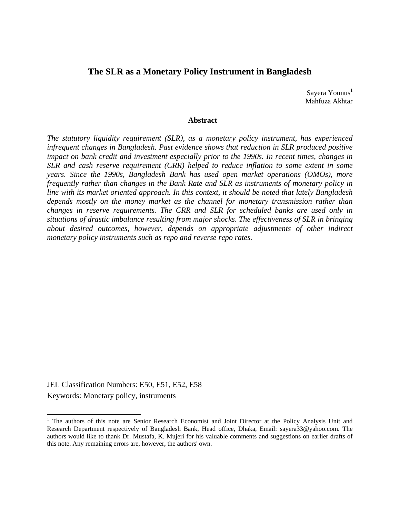# **The SLR as a Monetary Policy Instrument in Bangladesh**

Sayera Younus<sup>1</sup> Mahfuza Akhtar

### **Abstract**

*The statutory liquidity requirement (SLR), as a monetary policy instrument, has experienced infrequent changes in Bangladesh. Past evidence shows that reduction in SLR produced positive impact on bank credit and investment especially prior to the 1990s. In recent times, changes in SLR and cash reserve requirement (CRR) helped to reduce inflation to some extent in some years. Since the 1990s, Bangladesh Bank has used open market operations (OMOs), more frequently rather than changes in the Bank Rate and SLR as instruments of monetary policy in line with its market oriented approach. In this context, it should be noted that lately Bangladesh depends mostly on the money market as the channel for monetary transmission rather than changes in reserve requirements. The CRR and SLR for scheduled banks are used only in situations of drastic imbalance resulting from major shocks*. *The effectiveness of SLR in bringing about desired outcomes, however, depends on appropriate adjustments of other indirect monetary policy instruments such as repo and reverse repo rates.* 

JEL Classification Numbers: E50, E51, E52, E58 Keywords: Monetary policy, instruments

 $\overline{\phantom{a}}$ 

<sup>&</sup>lt;sup>1</sup> The authors of this note are Senior Research Economist and Joint Director at the Policy Analysis Unit and Research Department respectively of Bangladesh Bank, Head office, Dhaka, Email: sayera33@yahoo.com. The authors would like to thank Dr. Mustafa, K. Mujeri for his valuable comments and suggestions on earlier drafts of this note. Any remaining errors are, however, the authors' own.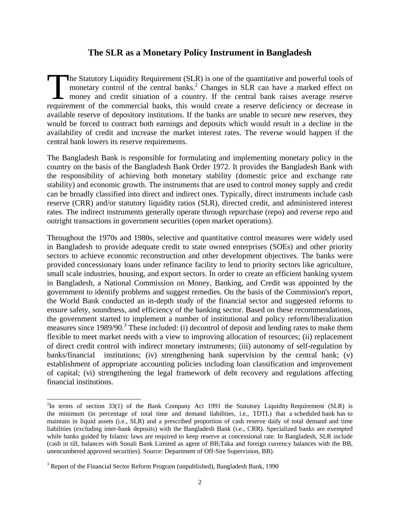# **The SLR as a Monetary Policy Instrument in Bangladesh**

he Statutory Liquidity Requirement (SLR) is one of the quantitative and powerful tools of monetary control of the central banks.<sup>2</sup> Changes in SLR can have a marked effect on money and credit situation of a country. If the central bank raises average reserve requirement of the commercial banks, this would create a reserve deficiency or decrease in available reserve of depository institutions. If the banks are unable to secure new reserves, they would be forced to contract both earnings and deposits which would result in a decline in the availability of credit and increase the market interest rates. The reverse would happen if the central bank lowers its reserve requirements. The<br>mc<br>requireme

The Bangladesh Bank is responsible for formulating and implementing monetary policy in the country on the basis of the Bangladesh Bank Order 1972. It provides the Bangladesh Bank with the responsibility of achieving both monetary stability (domestic price and exchange rate stability) and economic growth. The instruments that are used to control money supply and credit can be broadly classified into direct and indirect ones. Typically, direct instruments include cash reserve (CRR) and/or statutory liquidity ratios (SLR), directed credit, and administered interest rates. The indirect instruments generally operate through repurchase (repo) and reverse repo and outright transactions in government securities (open market operations).

Throughout the 1970s and 1980s, selective and quantitative control measures were widely used in Bangladesh to provide adequate credit to state owned enterprises (SOEs) and other priority sectors to achieve economic reconstruction and other development objectives. The banks were provided concessionary loans under refinance facility to lend to priority sectors like agriculture, small scale industries, housing, and export sectors. In order to create an efficient banking system in Bangladesh, a National Commission on Money, Banking, and Credit was appointed by the government to identify problems and suggest remedies. On the basis of the Commission's report, the World Bank conducted an in-depth study of the financial sector and suggested reforms to ensure safety, soundness, and efficiency of the banking sector. Based on these recommendations, the government started to implement a number of institutional and policy reform/liberalization measures since 1989/90.<sup>3</sup> These included: (i) decontrol of deposit and lending rates to make them flexible to meet market needs with a view to improving allocation of resources; (ii) replacement of direct credit control with indirect monetary instruments; (iii) autonomy of self-regulation by banks/financial institutions; (iv) strengthening bank supervision by the central bank; (v) establishment of appropriate accounting policies including loan classification and improvement of capital; (vi) strengthening the legal framework of debt recovery and regulations affecting financial institutions.

l

 $2^2$ In terms of section 33(1) of the Bank Company Act 1991 the Statutory Liquidity Requirement (SLR) is the minimum (in percentage of total time and demand liabilities, i.e., TDTL) that a scheduled bank has to maintain in liquid assets (i.e., SLR) and a prescribed proportion of cash reserve daily of total demand and time liabilities (excluding inter-bank deposits) with the Bangladesh Bank (i.e., CRR). Specialized banks are exempted while banks guided by Islamic laws are required to keep reserve at concessional rate. In Bangladesh, SLR include (cash in till, balances with Sonali Bank Limited as agent of BB;Taka and foreign currency balances with the BB, unencumbered approved securities). Source: Department of Off-Site Supervision, BB).

 $3$  Report of the Financial Sector Reform Program (unpublished), Bangladesh Bank, 1990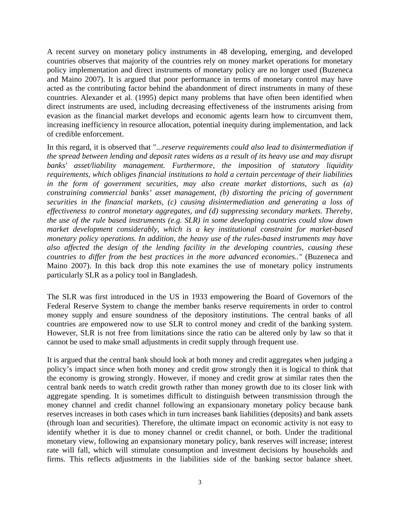A recent survey on monetary policy instruments in 48 developing, emerging, and developed countries observes that majority of the countries rely on money market operations for monetary policy implementation and direct instruments of monetary policy are no longer used (Buzeneca and Maino 2007). It is argued that poor performance in terms of monetary control may have acted as the contributing factor behind the abandonment of direct instruments in many of these countries. Alexander et al. (1995) depict many problems that have often been identified when direct instruments are used, including decreasing effectiveness of the instruments arising from evasion as the financial market develops and economic agents learn how to circumvent them, increasing inefficiency in resource allocation, potential inequity during implementation, and lack of credible enforcement.

In this regard, it is observed that "...*reserve requirements could also lead to disintermediation if the spread between lending and deposit rates widens as a result of its heavy use and may disrupt banks' asset/liability management. Furthermore, the imposition of statutory liquidity requirements, which obliges financial institutions to hold a certain percentage of their liabilities in the form of government securities, may also create market distortions, such as (a) constraining commercial banks' asset management, (b) distorting the pricing of government securities in the financial markets, (c) causing disintermediation and generating a loss of effectiveness to control monetary aggregates, and (d) suppressing secondary markets. Thereby, the use of the rule based instruments (e.g. SLR) in some developing countries could slow down market development considerably, which is a key institutional constraint for market-based monetary policy operations. In addition, the heavy use of the rules-based instruments may have also affected the design of the lending facility in the developing countries, causing these countries to differ from the best practices in the more advanced economies.."* (Buzeneca and Maino 2007). In this back drop this note examines the use of monetary policy instruments particularly SLR as a policy tool in Bangladesh.

The SLR was first introduced in the US in 1933 empowering the Board of Governors of the Federal Reserve System to change the member banks reserve requirements in order to control money supply and ensure soundness of the depository institutions. The central banks of all countries are empowered now to use SLR to control money and credit of the banking system. However, SLR is not free from limitations since the ratio can be altered only by law so that it cannot be used to make small adjustments in credit supply through frequent use.

It is argued that the central bank should look at both money and credit aggregates when judging a policy's impact since when both money and credit grow strongly then it is logical to think that the economy is growing strongly. However, if money and credit grow at similar rates then the central bank needs to watch credit growth rather than money growth due to its closer link with aggregate spending. It is sometimes difficult to distinguish between transmission through the money channel and credit channel following an expansionary monetary policy because bank reserves increases in both cases which in turn increases bank liabilities (deposits) and bank assets (through loan and securities). Therefore, the ultimate impact on economic activity is not easy to identify whether it is due to money channel or credit channel, or both. Under the traditional monetary view, following an expansionary monetary policy, bank reserves will increase; interest rate will fall, which will stimulate consumption and investment decisions by households and firms. This reflects adjustments in the liabilities side of the banking sector balance sheet.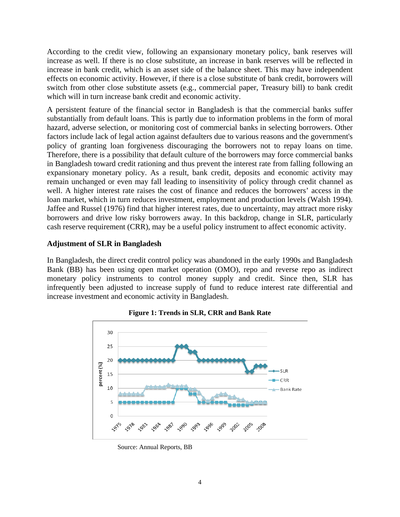According to the credit view, following an expansionary monetary policy, bank reserves will increase as well. If there is no close substitute, an increase in bank reserves will be reflected in increase in bank credit, which is an asset side of the balance sheet. This may have independent effects on economic activity. However, if there is a close substitute of bank credit, borrowers will switch from other close substitute assets (e.g., commercial paper, Treasury bill) to bank credit which will in turn increase bank credit and economic activity.

A persistent feature of the financial sector in Bangladesh is that the commercial banks suffer substantially from default loans. This is partly due to information problems in the form of moral hazard, adverse selection, or monitoring cost of commercial banks in selecting borrowers. Other factors include lack of legal action against defaulters due to various reasons and the government's policy of granting loan forgiveness discouraging the borrowers not to repay loans on time. Therefore, there is a possibility that default culture of the borrowers may force commercial banks in Bangladesh toward credit rationing and thus prevent the interest rate from falling following an expansionary monetary policy. As a result, bank credit, deposits and economic activity may remain unchanged or even may fall leading to insensitivity of policy through credit channel as well. A higher interest rate raises the cost of finance and reduces the borrowers' access in the loan market, which in turn reduces investment, employment and production levels (Walsh 1994). Jaffee and Russel (1976) find that higher interest rates, due to uncertainty, may attract more risky borrowers and drive low risky borrowers away. In this backdrop, change in SLR, particularly cash reserve requirement (CRR), may be a useful policy instrument to affect economic activity.

## **Adjustment of SLR in Bangladesh**

In Bangladesh, the direct credit control policy was abandoned in the early 1990s and Bangladesh Bank (BB) has been using open market operation (OMO), repo and reverse repo as indirect monetary policy instruments to control money supply and credit. Since then, SLR has infrequently been adjusted to increase supply of fund to reduce interest rate differential and increase investment and economic activity in Bangladesh.



**Figure 1: Trends in SLR, CRR and Bank Rate** 

Source: Annual Reports, BB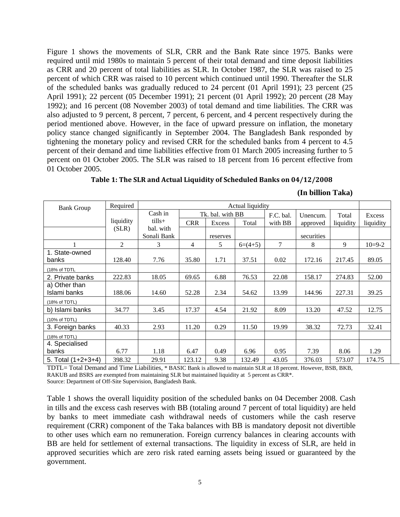Figure 1 shows the movements of SLR, CRR and the Bank Rate since 1975. Banks were required until mid 1980s to maintain 5 percent of their total demand and time deposit liabilities as CRR and 20 percent of total liabilities as SLR. In October 1987, the SLR was raised to 25 percent of which CRR was raised to 10 percent which continued until 1990. Thereafter the SLR of the scheduled banks was gradually reduced to 24 percent (01 April 1991); 23 percent (25 April 1991); 22 percent (05 December 1991); 21 percent (01 April 1992); 20 percent (28 May 1992); and 16 percent (08 November 2003) of total demand and time liabilities. The CRR was also adjusted to 9 percent, 8 percent, 7 percent, 6 percent, and 4 percent respectively during the period mentioned above. However, in the face of upward pressure on inflation, the monetary policy stance changed significantly in September 2004. The Bangladesh Bank responded by tightening the monetary policy and revised CRR for the scheduled banks from 4 percent to 4.5 percent of their demand and time liabilities effective from 01 March 2005 increasing further to 5 percent on 01 October 2005. The SLR was raised to 18 percent from 16 percent effective from 01 October 2005.

| <b>Bank Group</b>             | Required  |                          | Actual liquidity |                  |           |         |            |           |           |
|-------------------------------|-----------|--------------------------|------------------|------------------|-----------|---------|------------|-----------|-----------|
|                               |           | Cash in                  |                  | Tk. bal. with BB |           |         | Unencum.   | Total     | Excess    |
|                               | liquidity | $t$ ills $+$             | <b>CRR</b>       | Excess           | Total     | with BB | approved   | liquidity | liquidity |
|                               | (SLR)     | bal. with<br>Sonali Bank |                  | reserves         |           |         | securities |           |           |
|                               | 2         | 3                        | 4                | 5                | $6=(4+5)$ | 7       | 8          | 9         | $10=9-2$  |
| 1. State-owned<br>banks       | 128.40    | 7.76                     | 35.80            | 1.71             | 37.51     | 0.02    | 172.16     | 217.45    | 89.05     |
| (18% of TDTL                  |           |                          |                  |                  |           |         |            |           |           |
| 2. Private banks              | 222.83    | 18.05                    | 69.65            | 6.88             | 76.53     | 22.08   | 158.17     | 274.83    | 52.00     |
| a) Other than<br>Islami banks | 188.06    | 14.60                    | 52.28            | 2.34             | 54.62     | 13.99   | 144.96     | 227.31    | 39.25     |
| (18% of TDTL)                 |           |                          |                  |                  |           |         |            |           |           |
| b) Islami banks               | 34.77     | 3.45                     | 17.37            | 4.54             | 21.92     | 8.09    | 13.20      | 47.52     | 12.75     |
| (10% of TDTL)                 |           |                          |                  |                  |           |         |            |           |           |
| 3. Foreign banks              | 40.33     | 2.93                     | 11.20            | 0.29             | 11.50     | 19.99   | 38.32      | 72.73     | 32.41     |
| (18% of TDTL)                 |           |                          |                  |                  |           |         |            |           |           |
| 4. Specialised<br>banks       | 6.77      | 1.18                     | 6.47             | 0.49             | 6.96      | 0.95    | 7.39       | 8.06      | 1.29      |
| 5. Total $(1+2+3+4)$          | 398.32    | 29.91                    | 123.12           | 9.38             | 132.49    | 43.05   | 376.03     | 573.07    | 174.75    |

**Table 1: The SLR and Actual Liquidity of Scheduled Banks on 04/12/2008**

| (In billion Taka) |  |
|-------------------|--|
|                   |  |

TDTL= Total Demand and Time Liabilities, \* BASIC Bank is allowed to maintain SLR at 18 percent. However, BSB, BKB, RAKUB and BSRS are exempted from maintaining SLR but maintained liquidity at 5 percent as CRR\*. Source: Department of Off-Site Supervision, Bangladesh Bank.

Table 1 shows the overall liquidity position of the scheduled banks on 04 December 2008. Cash in tills and the excess cash reserves with BB (totaling around 7 percent of total liquidity) are held by banks to meet immediate cash withdrawal needs of customers while the cash reserve requirement (CRR) component of the Taka balances with BB is mandatory deposit not divertible to other uses which earn no remuneration. Foreign currency balances in clearing accounts with BB are held for settlement of external transactions. The liquidity in excess of SLR, are held in approved securities which are zero risk rated earning assets being issued or guaranteed by the government.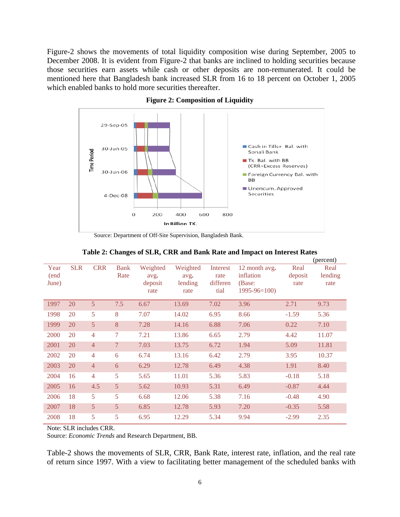Figure-2 shows the movements of total liquidity composition wise during September, 2005 to December 2008. It is evident from Figure-2 that banks are inclined to holding securities because those securities earn assets while cash or other deposits are non-remunerated. It could be mentioned here that Bangladesh bank increased SLR from 16 to 18 percent on October 1, 2005 which enabled banks to hold more securities thereafter.



**Figure 2: Composition of Liquidity** 

Source: Department of Off-Site Supervision, Bangladesh Bank.

|                       |            |                |                     |                                     |                                     |                                      |                                                           |                         | (percent)               |
|-----------------------|------------|----------------|---------------------|-------------------------------------|-------------------------------------|--------------------------------------|-----------------------------------------------------------|-------------------------|-------------------------|
| Year<br>(end<br>June) | <b>SLR</b> | <b>CRR</b>     | <b>Bank</b><br>Rate | Weighted<br>avg.<br>deposit<br>rate | Weighted<br>avg.<br>lending<br>rate | Interest<br>rate<br>differen<br>tial | 12 month avg.<br>inflation<br>(Base:<br>$1995 - 96 = 100$ | Real<br>deposit<br>rate | Real<br>lending<br>rate |
| 1997                  | 20         | $\overline{5}$ | 7.5                 | 6.67                                | 13.69                               | 7.02                                 | 3.96                                                      | 2.71                    | 9.73                    |
| 1998                  | 20         | 5              | 8                   | 7.07                                | 14.02                               | 6.95                                 | 8.66                                                      | $-1.59$                 | 5.36                    |
| 1999                  | 20         | 5              | 8                   | 7.28                                | 14.16                               | 6.88                                 | 7.06                                                      | 0.22                    | 7.10                    |
| 2000                  | 20         | $\overline{4}$ | $\overline{7}$      | 7.21                                | 13.86                               | 6.65                                 | 2.79                                                      | 4.42                    | 11.07                   |
| 2001                  | 20         | $\overline{4}$ | $7\phantom{.0}$     | 7.03                                | 13.75                               | 6.72                                 | 1.94                                                      | 5.09                    | 11.81                   |
| 2002                  | 20         | $\overline{4}$ | 6                   | 6.74                                | 13.16                               | 6.42                                 | 2.79                                                      | 3.95                    | 10.37                   |
| 2003                  | 20         | $\overline{4}$ | 6                   | 6.29                                | 12.78                               | 6.49                                 | 4.38                                                      | 1.91                    | 8.40                    |
| 2004                  | 16         | $\overline{4}$ | 5                   | 5.65                                | 11.01                               | 5.36                                 | 5.83                                                      | $-0.18$                 | 5.18                    |
| 2005                  | 16         | 4.5            | 5                   | 5.62                                | 10.93                               | 5.31                                 | 6.49                                                      | $-0.87$                 | 4.44                    |
| 2006                  | 18         | 5              | 5                   | 6.68                                | 12.06                               | 5.38                                 | 7.16                                                      | $-0.48$                 | 4.90                    |
| 2007                  | 18         | 5              | 5                   | 6.85                                | 12.78                               | 5.93                                 | 7.20                                                      | $-0.35$                 | 5.58                    |
| 2008                  | 18         | 5              | 5                   | 6.95                                | 12.29                               | 5.34                                 | 9.94                                                      | $-2.99$                 | 2.35                    |

**Table 2: Changes of SLR, CRR and Bank Rate and Impact on Interest Rates** 

Note: SLR includes CRR.

Source: *Economic Trends* and Research Department, BB.

Table-2 shows the movements of SLR, CRR, Bank Rate, interest rate, inflation, and the real rate of return since 1997. With a view to facilitating better management of the scheduled banks with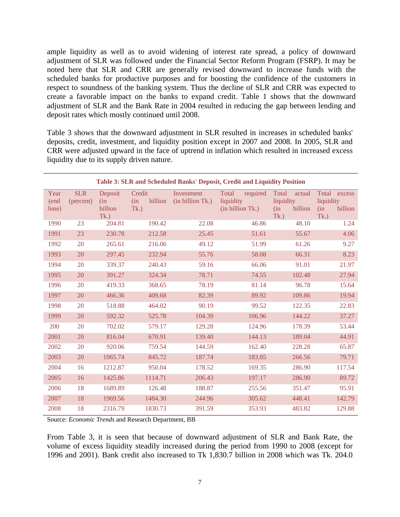ample liquidity as well as to avoid widening of interest rate spread, a policy of downward adjustment of SLR was followed under the Financial Sector Reform Program (FSRP). It may be noted here that SLR and CRR are generally revised downward to increase funds with the scheduled banks for productive purposes and for boosting the confidence of the customers in respect to soundness of the banking system. Thus the decline of SLR and CRR was expected to create a favorable impact on the banks to expand credit. Table 1 shows that the downward adjustment of SLR and the Bank Rate in 2004 resulted in reducing the gap between lending and deposit rates which mostly continued until 2008.

Table 3 shows that the downward adjustment in SLR resulted in increases in scheduled banks' deposits, credit, investment, and liquidity position except in 2007 and 2008. In 2005, SLR and CRR were adjusted upward in the face of uptrend in inflation which resulted in increased excess liquidity due to its supply driven nature.

| Year<br>(end | <b>SLR</b><br>(percent) | Deposit<br>(in) | Credit<br>billion<br>(in) | Investment<br>(in billion Tk.) | Total required<br>liquidity | Total<br>actual<br>liquidity | Total excess<br>liquidity |
|--------------|-------------------------|-----------------|---------------------------|--------------------------------|-----------------------------|------------------------------|---------------------------|
| June)        |                         | billion<br>Tk.) | Tk.)                      |                                | (in billion Tk.)            | billion<br>(in<br>Tk.)       | billion<br>(in<br>Tk.)    |
| 1990         | 23                      | 204.81          | 190.42                    | 22.08                          | 46.86                       | 48.10                        | 1.24                      |
| 1991         | 23                      | 230.78          | 212.58                    | 25.45                          | 51.61                       | 55.67                        | 4.06                      |
| 1992         | 20                      | 265.61          | 216.06                    | 49.12                          | 51.99                       | 61.26                        | 9.27                      |
| 1993         | 20                      | 297.45          | 232.94                    | 55.76                          | 58.08                       | 66.31                        | 8.23                      |
| 1994         | 20                      | 339.37          | 240.43                    | 59.16                          | 66.06                       | 91.01                        | 21.97                     |
| 1995         | 20                      | 391.27          | 324.34                    | 78.71                          | 74.55                       | 102.48                       | 27.94                     |
| 1996         | 20                      | 419.33          | 368.65                    | 78.19                          | 81.14                       | 96.78                        | 15.64                     |
| 1997         | 20                      | 466.36          | 409.68                    | 82.39                          | 89.92                       | 109.86                       | 19.94                     |
| 1998         | 20                      | 518.88          | 464.02                    | 90.19                          | 99.52                       | 122.35                       | 22.83                     |
| 1999         | 20                      | 592.32          | 525.78                    | 104.39                         | 106.96                      | 144.22                       | 37.27                     |
| 200          | 20                      | 702.02          | 579.17                    | 129.28                         | 124.96                      | 178.39                       | 53.44                     |
| 2001         | 20                      | 816.04          | 670.91                    | 139.40                         | 144.13                      | 189.04                       | 44.91                     |
| 2002         | 20                      | 920.06          | 759.54                    | 144.59                         | 162.40                      | 228.28                       | 65.87                     |
| 2003         | 20                      | 1065.74         | 845.72                    | 187.74                         | 183.85                      | 266.56                       | 79.71                     |
| 2004         | 16                      | 1212.87         | 950.04                    | 178.52                         | 169.35                      | 286.90                       | 117.54                    |
| 2005         | 16                      | 1425.86         | 1114.71                   | 206.43                         | 197.17                      | 286.90                       | 89.72                     |
| 2006         | 18                      | 1689.89         | 126.48                    | 188.87                         | 255.56                      | 351.47                       | 95.91                     |
| 2007         | 18                      | 1969.56         | 1484.30                   | 244.96                         | 305.62                      | 448.41                       | 142.79                    |
| 2008         | 18                      | 2316.79         | 1830.73                   | 391.59                         | 353.93                      | 483.82                       | 129.88                    |

### **Table 3: SLR and Scheduled Banks' Deposit, Credit and Liquidity Position**

Source: *Economic Trends* and Research Department, BB

From Table 3, it is seen that because of downward adjustment of SLR and Bank Rate, the volume of excess liquidity steadily increased during the period from 1990 to 2008 (except for 1996 and 2001). Bank credit also increased to Tk 1,830.7 billion in 2008 which was Tk. 204.0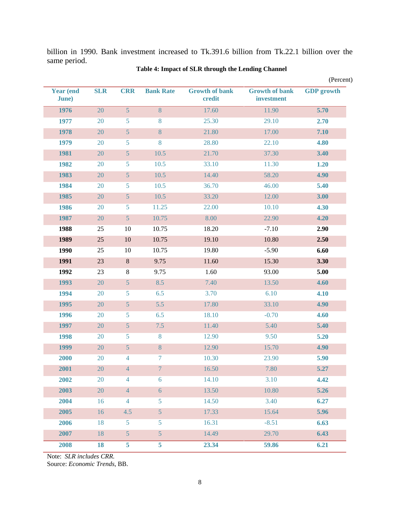billion in 1990. Bank investment increased to Tk.391.6 billion from Tk.22.1 billion over the same period.

| Year (end     | <b>SLR</b> | <b>CRR</b>     | <b>Bank Rate</b> | <b>Growth of bank</b> | <b>Growth of bank</b> | <b>GDP</b> growth |
|---------------|------------|----------------|------------------|-----------------------|-----------------------|-------------------|
| <b>June</b> ) |            |                |                  | credit                | investment            |                   |
| 1976          | 20         | $\overline{5}$ | 8                | 17.60                 | 11.90                 | 5.70              |
| 1977          | 20         | 5              | 8                | 25.30                 | 29.10                 | 2.70              |
| 1978          | 20         | 5              | $8\phantom{1}$   | 21.80                 | 17.00                 | 7.10              |
| 1979          | 20         | 5              | 8                | 28.80                 | 22.10                 | 4.80              |
| 1981          | 20         | $\sqrt{5}$     | 10.5             | 21.70                 | 37.30                 | 3.40              |
| 1982          | 20         | 5              | 10.5             | 33.10                 | 11.30                 | 1.20              |
| 1983          | 20         | 5              | 10.5             | 14.40                 | 58.20                 | 4.90              |
| 1984          | 20         | 5              | 10.5             | 36.70                 | 46.00                 | 5.40              |
| 1985          | 20         | $\sqrt{5}$     | 10.5             | 33.20                 | 12.00                 | 3.00              |
| 1986          | 20         | 5              | 11.25            | 22.00                 | 10.10                 | 4.30              |
| 1987          | 20         | 5              | 10.75            | 8.00                  | 22.90                 | 4.20              |
| 1988          | 25         | $10\,$         | 10.75            | 18.20                 | $-7.10$               | 2.90              |
| 1989          | 25         | $10\,$         | 10.75            | 19.10                 | 10.80                 | 2.50              |
| 1990          | 25         | 10             | 10.75            | 19.80                 | $-5.90$               | 6.60              |
| 1991          | 23         | $\,8\,$        | 9.75             | 11.60                 | 15.30                 | 3.30              |
| 1992          | 23         | $\,8\,$        | 9.75             | 1.60                  | 93.00                 | 5.00              |
| 1993          | 20         | $\sqrt{5}$     | 8.5              | 7.40                  | 13.50                 | 4.60              |
| 1994          | 20         | $\mathfrak{S}$ | 6.5              | 3.70                  | 6.10                  | 4.10              |
| 1995          | 20         | 5              | 5.5              | 17.80                 | 33.10                 | 4.90              |
| 1996          | 20         | 5              | 6.5              | 18.10                 | $-0.70$               | 4.60              |
| 1997          | 20         | $\overline{5}$ | 7.5              | 11.40                 | 5.40                  | 5.40              |
| 1998          | 20         | 5              | 8                | 12.90                 | 9.50                  | 5.20              |
| 1999          | 20         | 5              | $\, 8$           | 12.90                 | 15.70                 | 4.90              |
| 2000          | 20         | $\overline{4}$ | $\boldsymbol{7}$ | 10.30                 | 23.90                 | 5.90              |
| 2001          | 20         | $\overline{4}$ | 7 <sup>1</sup>   | 16.50                 | 7.80                  | 5.27              |
| 2002          | 20         | $\overline{4}$ | 6                | 14.10                 | 3.10                  | 4.42              |
| 2003          | 20         | $\overline{4}$ | $\boldsymbol{6}$ | 13.50                 | 10.80                 | 5.26              |
| 2004          | 16         | $\overline{4}$ | 5                | 14.50                 | 3.40                  | 6.27              |
| 2005          | 16         | 4.5            | $\mathfrak{S}$   | 17.33                 | 15.64                 | 5.96              |
| 2006          | 18         | 5              | 5                | 16.31                 | $-8.51$               | 6.63              |
| 2007          | 18         | 5 <sup>5</sup> | $\overline{5}$   | 14.49                 | 29.70                 | 6.43              |
| 2008          | 18         | 5 <sub>5</sub> | 5                | 23.34                 | 59.86                 | 6.21              |

### **Table 4: Impact of SLR through the Lending Channel**

Note: *SLR includes CRR.* 

Source: *Economic Trends*, BB.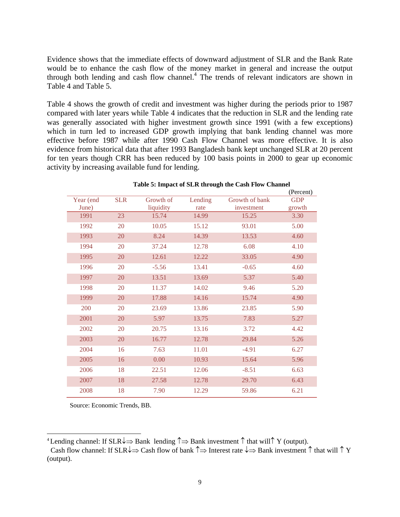Evidence shows that the immediate effects of downward adjustment of SLR and the Bank Rate would be to enhance the cash flow of the money market in general and increase the output through both lending and cash flow channel.<sup>4</sup> The trends of relevant indicators are shown in Table 4 and Table 5.

Table 4 shows the growth of credit and investment was higher during the periods prior to 1987 compared with later years while Table 4 indicates that the reduction in SLR and the lending rate was generally associated with higher investment growth since 1991 (with a few exceptions) which in turn led to increased GDP growth implying that bank lending channel was more effective before 1987 while after 1990 Cash Flow Channel was more effective. It is also evidence from historical data that after 1993 Bangladesh bank kept unchanged SLR at 20 percent for ten years though CRR has been reduced by 100 basis points in 2000 to gear up economic activity by increasing available fund for lending.

|           |            |           |         |                | (Percent)  |
|-----------|------------|-----------|---------|----------------|------------|
| Year (end | <b>SLR</b> | Growth of | Lending | Growth of bank | <b>GDP</b> |
| June)     |            | liquidity | rate    | investment     | growth     |
| 1991      | 23         | 15.74     | 14.99   | 15.25          | 3.30       |
| 1992      | 20         | 10.05     | 15.12   | 93.01          | 5.00       |
| 1993      | 20         | 8.24      | 14.39   | 13.53          | 4.60       |
| 1994      | 20         | 37.24     | 12.78   | 6.08           | 4.10       |
| 1995      | 20         | 12.61     | 12.22   | 33.05          | 4.90       |
| 1996      | 20         | $-5.56$   | 13.41   | $-0.65$        | 4.60       |
| 1997      | 20         | 13.51     | 13.69   | 5.37           | 5.40       |
| 1998      | 20         | 11.37     | 14.02   | 9.46           | 5.20       |
| 1999      | 20         | 17.88     | 14.16   | 15.74          | 4.90       |
| 200       | 20         | 23.69     | 13.86   | 23.85          | 5.90       |
| 2001      | 20         | 5.97      | 13.75   | 7.83           | 5.27       |
| 2002      | 20         | 20.75     | 13.16   | 3.72           | 4.42       |
| 2003      | 20         | 16.77     | 12.78   | 29.84          | 5.26       |
| 2004      | 16         | 7.63      | 11.01   | $-4.91$        | 6.27       |
| 2005      | 16         | 0.00      | 10.93   | 15.64          | 5.96       |
| 2006      | 18         | 22.51     | 12.06   | $-8.51$        | 6.63       |
| 2007      | 18         | 27.58     | 12.78   | 29.70          | 6.43       |
| 2008      | 18         | 7.90      | 12.29   | 59.86          | 6.21       |

### **Table 5: Impact of SLR through the Cash Flow Channel**

Source: Economic Trends, BB.

 $\overline{a}$ 

<sup>&</sup>lt;sup>4</sup> Lending channel: If SLR $\downarrow \Rightarrow$  Bank lending  $\uparrow \Rightarrow$  Bank investment  $\uparrow$  that will  $\uparrow$  Y (output).

Cash flow channel: If  $SLR\downarrow \Rightarrow$  Cash flow of bank  $\uparrow \Rightarrow$  Interest rate  $\downarrow \Rightarrow$  Bank investment  $\uparrow$  that will  $\uparrow$  Y (output).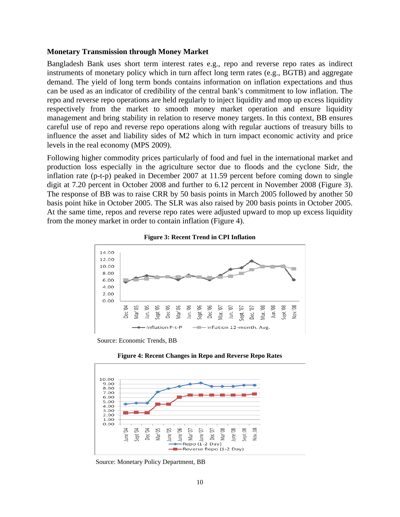### **Monetary Transmission through Money Market**

Bangladesh Bank uses short term interest rates e.g., repo and reverse repo rates as indirect instruments of monetary policy which in turn affect long term rates (e.g., BGTB) and aggregate demand. The yield of long term bonds contains information on inflation expectations and thus can be used as an indicator of credibility of the central bank's commitment to low inflation. The repo and reverse repo operations are held regularly to inject liquidity and mop up excess liquidity respectively from the market to smooth money market operation and ensure liquidity management and bring stability in relation to reserve money targets. In this context, BB ensures careful use of repo and reverse repo operations along with regular auctions of treasury bills to influence the asset and liability sides of M2 which in turn impact economic activity and price levels in the real economy (MPS 2009).

Following higher commodity prices particularly of food and fuel in the international market and production loss especially in the agriculture sector due to floods and the cyclone Sidr, the inflation rate (p-t-p) peaked in December 2007 at 11.59 percent before coming down to single digit at 7.20 percent in October 2008 and further to 6.12 percent in November 2008 (Figure 3). The response of BB was to raise CRR by 50 basis points in March 2005 followed by another 50 basis point hike in October 2005. The SLR was also raised by 200 basis points in October 2005. At the same time, repos and reverse repo rates were adjusted upward to mop up excess liquidity from the money market in order to contain inflation (Figure 4).



**Figure 3: Recent Trend in CPI Inflation** 

Source: Economic Trends, BB





Source: Monetary Policy Department, BB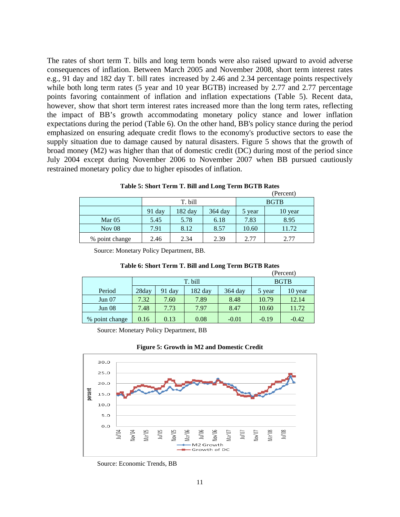The rates of short term T. bills and long term bonds were also raised upward to avoid adverse consequences of inflation. Between March 2005 and November 2008, short term interest rates e.g., 91 day and 182 day T. bill rates increased by 2.46 and 2.34 percentage points respectively while both long term rates (5 year and 10 year BGTB) increased by 2.77 and 2.77 percentage points favoring containment of inflation and inflation expectations (Table 5). Recent data, however, show that short term interest rates increased more than the long term rates, reflecting the impact of BB's growth accommodating monetary policy stance and lower inflation expectations during the period (Table 6). On the other hand, BB's policy stance during the period emphasized on ensuring adequate credit flows to the economy's productive sectors to ease the supply situation due to damage caused by natural disasters. Figure 5 shows that the growth of broad money (M2) was higher than that of domestic credit (DC) during most of the period since July 2004 except during November 2006 to November 2007 when BB pursued cautiously restrained monetary policy due to higher episodes of inflation.

|                |        |         |         |             | (Percent) |
|----------------|--------|---------|---------|-------------|-----------|
|                |        | T. bill |         | <b>BGTB</b> |           |
|                | 91 day | 182 day | 364 day | 5 year      | 10 year   |
| Mar $05$       | 5.45   | 5.78    | 6.18    | 7.83        | 8.95      |
| Nov $08$       | 7.91   | 8.12    | 8.57    | 10.60       | 11.72     |
| % point change | 2.46   | 2.34    | 2.39    | 2.77        | 2.77      |

|  |  | Table 5: Short Term T. Bill and Long Term BGTB Rates |
|--|--|------------------------------------------------------|
|  |  |                                                      |

Source: Monetary Policy Department, BB.

|                |       |         | ຼ       |             | (Percent) |         |
|----------------|-------|---------|---------|-------------|-----------|---------|
|                |       | T. bill |         | <b>BGTB</b> |           |         |
| Period         | 28day | 91 day  | 182 day | $364$ day   | 5 year    | 10 year |
| Jun 07         | 7.32  | 7.60    | 7.89    | 8.48        | 10.79     | 12.14   |
| Jun 08         | 7.48  | 7.73    | 7.97    | 8.47        | 10.60     | 11.72   |
| % point change | 0.16  | 0.13    | 0.08    | $-0.01$     | $-0.19$   | $-0.42$ |

#### **Table 6: Short Term T. Bill and Long Term BGTB Rates**

Source: Monetary Policy Department, BB





Source: Economic Trends, BB